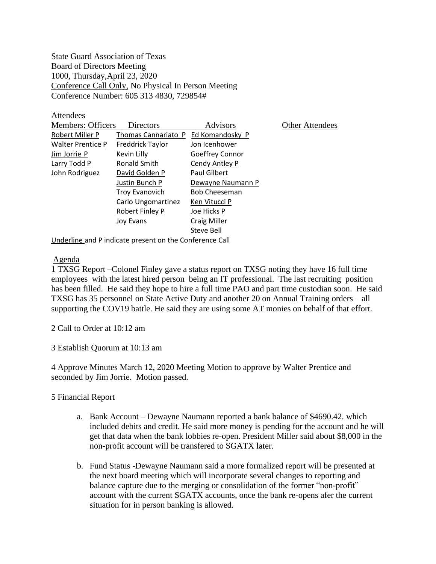State Guard Association of Texas Board of Directors Meeting 1000, Thursday,April 23, 2020 Conference Call Only, No Physical In Person Meeting Conference Number: 605 313 4830, 729854#

**Attendees** 

| <b>Members: Officers</b> | Directors               | <b>Advisors</b>      | Other Attendees |
|--------------------------|-------------------------|----------------------|-----------------|
| Robert Miller P          | Thomas Cannariato P     | Ed Komandosky P      |                 |
| <b>Walter Prentice P</b> | <b>Freddrick Taylor</b> | Jon Icenhower        |                 |
| Jim Jorrie P             | Kevin Lilly             | Goeffrey Connor      |                 |
| Larry Todd P             | Ronald Smith            | Cendy Antley P       |                 |
| John Rodriguez           | David Golden P          | Paul Gilbert         |                 |
|                          | Justin Bunch P          | Dewayne Naumann P    |                 |
|                          | <b>Troy Evanovich</b>   | <b>Bob Cheeseman</b> |                 |
|                          | Carlo Ungomartinez      | Ken Vitucci P        |                 |
|                          | Robert Finley P         | Joe Hicks P          |                 |
|                          | Joy Evans               | <b>Craig Miller</b>  |                 |
|                          |                         | Steve Bell           |                 |
|                          |                         |                      |                 |

Underline and P indicate present on the Conference Call

## Agenda

1 TXSG Report –Colonel Finley gave a status report on TXSG noting they have 16 full time employees with the latest hired person being an IT professional. The last recruiting position has been filled. He said they hope to hire a full time PAO and part time custodian soon. He said TXSG has 35 personnel on State Active Duty and another 20 on Annual Training orders – all supporting the COV19 battle. He said they are using some AT monies on behalf of that effort.

2 Call to Order at 10:12 am

3 Establish Quorum at 10:13 am

4 Approve Minutes March 12, 2020 Meeting Motion to approve by Walter Prentice and seconded by Jim Jorrie. Motion passed.

5 Financial Report

- a. Bank Account Dewayne Naumann reported a bank balance of \$4690.42. which included debits and credit. He said more money is pending for the account and he will get that data when the bank lobbies re-open. President Miller said about \$8,000 in the non-profit account will be transfered to SGATX later.
- b. Fund Status -Dewayne Naumann said a more formalized report will be presented at the next board meeting which will incorporate several changes to reporting and balance capture due to the merging or consolidation of the former "non-profit" account with the current SGATX accounts, once the bank re-opens afer the current situation for in person banking is allowed.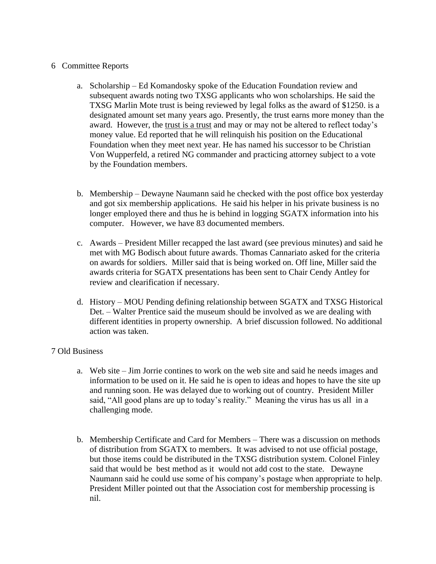## 6 Committee Reports

- a. Scholarship Ed Komandosky spoke of the Education Foundation review and subsequent awards noting two TXSG applicants who won scholarships. He said the TXSG Marlin Mote trust is being reviewed by legal folks as the award of \$1250. is a designated amount set many years ago. Presently, the trust earns more money than the award. However, the trust is a trust and may or may not be altered to reflect today's money value. Ed reported that he will relinquish his position on the Educational Foundation when they meet next year. He has named his successor to be Christian Von Wupperfeld, a retired NG commander and practicing attorney subject to a vote by the Foundation members.
- b. Membership Dewayne Naumann said he checked with the post office box yesterday and got six membership applications. He said his helper in his private business is no longer employed there and thus he is behind in logging SGATX information into his computer. However, we have 83 documented members.
- c. Awards President Miller recapped the last award (see previous minutes) and said he met with MG Bodisch about future awards. Thomas Cannariato asked for the criteria on awards for soldiers. Miller said that is being worked on. Off line, Miller said the awards criteria for SGATX presentations has been sent to Chair Cendy Antley for review and clearification if necessary.
- d. History MOU Pending defining relationship between SGATX and TXSG Historical Det. – Walter Prentice said the museum should be involved as we are dealing with different identities in property ownership. A brief discussion followed. No additional action was taken.

## 7 Old Business

- a. Web site Jim Jorrie contines to work on the web site and said he needs images and information to be used on it. He said he is open to ideas and hopes to have the site up and running soon. He was delayed due to working out of country. President Miller said, "All good plans are up to today's reality." Meaning the virus has us all in a challenging mode.
- b. Membership Certificate and Card for Members There was a discussion on methods of distribution from SGATX to members. It was advised to not use official postage, but those items could be distributed in the TXSG distribution system. Colonel Finley said that would be best method as it would not add cost to the state. Dewayne Naumann said he could use some of his company's postage when appropriate to help. President Miller pointed out that the Association cost for membership processing is nil.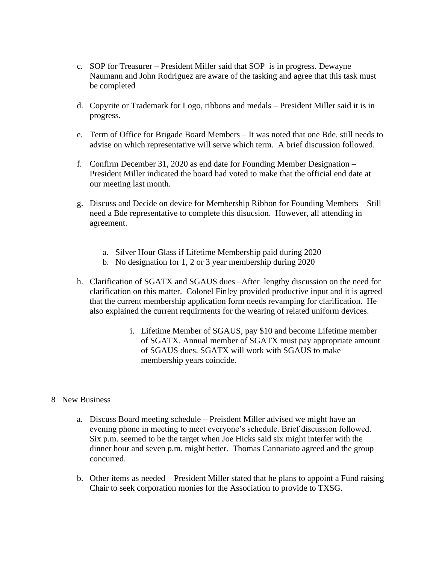- c. SOP for Treasurer President Miller said that SOP is in progress. Dewayne Naumann and John Rodriguez are aware of the tasking and agree that this task must be completed
- d. Copyrite or Trademark for Logo, ribbons and medals President Miller said it is in progress.
- e. Term of Office for Brigade Board Members It was noted that one Bde. still needs to advise on which representative will serve which term. A brief discussion followed.
- f. Confirm December 31, 2020 as end date for Founding Member Designation President Miller indicated the board had voted to make that the official end date at our meeting last month.
- g. Discuss and Decide on device for Membership Ribbon for Founding Members Still need a Bde representative to complete this disucsion. However, all attending in agreement.
	- a. Silver Hour Glass if Lifetime Membership paid during 2020
	- b. No designation for 1, 2 or 3 year membership during 2020
- h. Clarification of SGATX and SGAUS dues –After lengthy discussion on the need for clarification on this matter. Colonel Finley provided productive input and it is agreed that the current membership application form needs revamping for clarification. He also explained the current requirments for the wearing of related uniform devices.
	- i. Lifetime Member of SGAUS, pay \$10 and become Lifetime member of SGATX. Annual member of SGATX must pay appropriate amount of SGAUS dues. SGATX will work with SGAUS to make membership years coincide.
- 8 New Business
	- a. Discuss Board meeting schedule Preisdent Miller advised we might have an evening phone in meeting to meet everyone's schedule. Brief discussion followed. Six p.m. seemed to be the target when Joe Hicks said six might interfer with the dinner hour and seven p.m. might better. Thomas Cannariato agreed and the group concurred.
	- b. Other items as needed President Miller stated that he plans to appoint a Fund raising Chair to seek corporation monies for the Association to provide to TXSG.